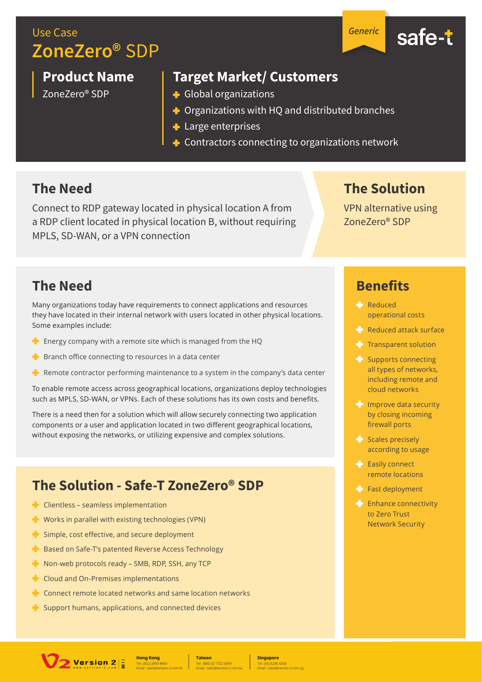Use Case **ZoneZero®** SDP

**Product Name**

ZoneZero® SDP

**Target Market/ Customers**

- Global organizations
- $\triangleq$  Organizations with HQ and distributed branches
- **+** Large enterprises
- $\div$  Contractors connecting to organizations network

#### **The Need**

Connect to RDP gateway located in physical location A from a RDP client located in physical location B, without requiring MPLS, SD-WAN, or a VPN connection

**The Solution**

VPN alternative using ZoneZero® SDP

#### **The Need**

Many organizations today have requirements to connect applications and resources they have located in their internal network with users located in other physical locations. Some examples include:

- $\blacksquare$  Energy company with a remote site which is managed from the HQ
- $\blacktriangleright$  Branch office connecting to resources in a data center
- $\blacksquare$  Remote contractor performing maintenance to a system in the company's data center

To enable remote access across geographical locations, organizations deploy technologies such as MPLS, SD-WAN, or VPNs. Each of these solutions has its own costs and benefits.

There is a need then for a solution which will allow securely connecting two application components or a user and application located in two different geographical locations, without exposing the networks, or utilizing expensive and complex solutions.

#### **The Solution - Safe-T ZoneZero® SDP**

- $\blacksquare$  Clientless seamless implementation
- $\blacksquare$  Works in parallel with existing technologies (VPN)
- $\blacktriangle$  Simple, cost effective, and secure deployment
- **Based on Safe-T's patented Reverse Access Technology**
- $\blacksquare$  Non-web protocols ready SMB, RDP, SSH, any TCP
- **Cloud and On-Premises implementations**
- $\blacksquare$  Connect remote located networks and same location networks
- $\blacktriangleright$  Support humans, applications, and connected devices

Version  $2\left|\frac{1}{n}\right|$ 

Tel : (852) 2893 8860 **Hong Kong** Email : sales@version-2.com.hk

Tel : (886) 02 7722 6899 **Taiwan** Email : sales@version-2.com.tw

Tel : (65) 6296 4268 **Singapore** Email : sales@version-2.com.sg

## **Benefits**

- **Reduced** operational costs
- Reduced attack surface
- $T$  Transparent solution
- Supports connecting all types of networks, including remote and cloud networks
- $\blacksquare$  Improve data security by closing incoming firewall ports
- $\blacktriangleright$  Scales precisely according to usage
- **Easily connect** remote locations
- $F$  Fast deployment
- **Enhance connectivity** to Zero Trust Network Security